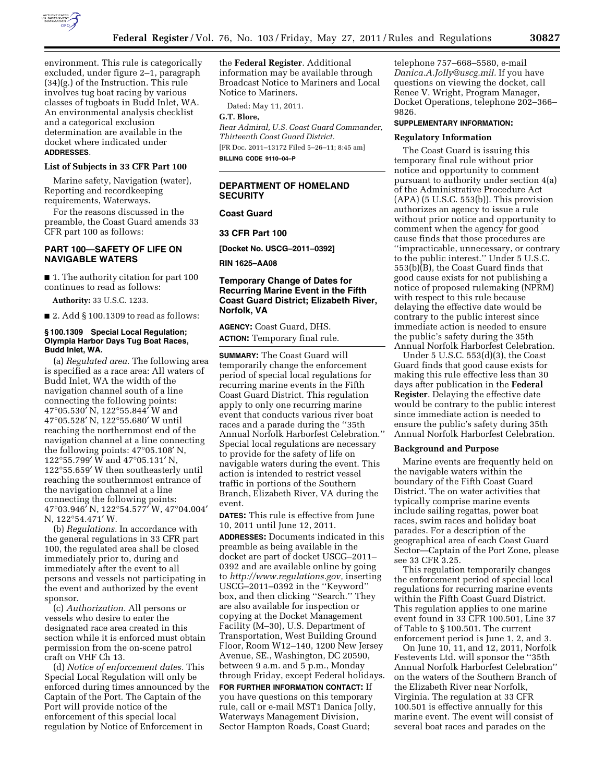

environment. This rule is categorically excluded, under figure 2–1, paragraph (34)(g.) of the Instruction. This rule involves tug boat racing by various classes of tugboats in Budd Inlet, WA. An environmental analysis checklist and a categorical exclusion determination are available in the docket where indicated under **ADDRESSES**.

#### **List of Subjects in 33 CFR Part 100**

Marine safety, Navigation (water), Reporting and recordkeeping requirements, Waterways.

For the reasons discussed in the preamble, the Coast Guard amends 33 CFR part 100 as follows:

# **PART 100—SAFETY OF LIFE ON NAVIGABLE WATERS**

■ 1. The authority citation for part 100 continues to read as follows:

**Authority:** 33 U.S.C. 1233.

■ 2. Add § 100.1309 to read as follows:

## **§ 100.1309 Special Local Regulation; Olympia Harbor Days Tug Boat Races, Budd Inlet, WA.**

(a) *Regulated area.* The following area is specified as a race area: All waters of Budd Inlet, WA the width of the navigation channel south of a line connecting the following points: 47°05.530′ N, 122°55.844′ W and 47°05.528′ N, 122°55.680′ W until reaching the northernmost end of the navigation channel at a line connecting the following points: 47°05.108′ N, 122°55.799′ W and 47°05.131′ N, 122°55.659′ W then southeasterly until reaching the southernmost entrance of the navigation channel at a line connecting the following points: 47°03.946′ N, 122°54.577′ W, 47°04.004′ N, 122°54.471′ W.

(b) *Regulations.* In accordance with the general regulations in 33 CFR part 100, the regulated area shall be closed immediately prior to, during and immediately after the event to all persons and vessels not participating in the event and authorized by the event sponsor.

(c) *Authorization.* All persons or vessels who desire to enter the designated race area created in this section while it is enforced must obtain permission from the on-scene patrol craft on VHF Ch 13.

(d) *Notice of enforcement dates.* This Special Local Regulation will only be enforced during times announced by the Captain of the Port. The Captain of the Port will provide notice of the enforcement of this special local regulation by Notice of Enforcement in

the **Federal Register**. Additional information may be available through Broadcast Notice to Mariners and Local Notice to Mariners.

Dated: May 11, 2011.

## **G.T. Blore,**

*Rear Admiral, U.S. Coast Guard Commander, Thirteenth Coast Guard District.*  [FR Doc. 2011–13172 Filed 5–26–11; 8:45 am] **BILLING CODE 9110–04–P** 

# **DEPARTMENT OF HOMELAND SECURITY**

## **Coast Guard**

**33 CFR Part 100** 

**[Docket No. USCG–2011–0392]** 

**RIN 1625–AA08** 

# **Temporary Change of Dates for Recurring Marine Event in the Fifth Coast Guard District; Elizabeth River, Norfolk, VA**

**AGENCY:** Coast Guard, DHS.

**ACTION:** Temporary final rule.

**SUMMARY:** The Coast Guard will temporarily change the enforcement period of special local regulations for recurring marine events in the Fifth Coast Guard District. This regulation apply to only one recurring marine event that conducts various river boat races and a parade during the ''35th Annual Norfolk Harborfest Celebration.'' Special local regulations are necessary to provide for the safety of life on navigable waters during the event. This action is intended to restrict vessel traffic in portions of the Southern Branch, Elizabeth River, VA during the event.

**DATES:** This rule is effective from June 10, 2011 until June 12, 2011.

**ADDRESSES:** Documents indicated in this preamble as being available in the docket are part of docket USCG–2011– 0392 and are available online by going to *[http://www.regulations.gov,](http://www.regulations.gov)* inserting USCG–2011–0392 in the ''Keyword'' box, and then clicking ''Search.'' They are also available for inspection or copying at the Docket Management Facility (M–30), U.S. Department of Transportation, West Building Ground Floor, Room W12–140, 1200 New Jersey Avenue, SE., Washington, DC 20590, between 9 a.m. and 5 p.m., Monday through Friday, except Federal holidays.

**FOR FURTHER INFORMATION CONTACT:** If you have questions on this temporary rule, call or e-mail MST1 Danica Jolly, Waterways Management Division, Sector Hampton Roads, Coast Guard;

telephone 757–668–5580, e-mail *[Danica.A.Jolly@uscg.mil.](mailto:Danica.A.Jolly@uscg.mil)* If you have questions on viewing the docket, call Renee V. Wright, Program Manager, Docket Operations, telephone 202–366– 9826.

# **SUPPLEMENTARY INFORMATION:**

#### **Regulatory Information**

The Coast Guard is issuing this temporary final rule without prior notice and opportunity to comment pursuant to authority under section 4(a) of the Administrative Procedure Act (APA) (5 U.S.C. 553(b)). This provision authorizes an agency to issue a rule without prior notice and opportunity to comment when the agency for good cause finds that those procedures are ''impracticable, unnecessary, or contrary to the public interest.'' Under 5 U.S.C. 553(b)(B), the Coast Guard finds that good cause exists for not publishing a notice of proposed rulemaking (NPRM) with respect to this rule because delaying the effective date would be contrary to the public interest since immediate action is needed to ensure the public's safety during the 35th Annual Norfolk Harborfest Celebration.

Under 5 U.S.C. 553(d)(3), the Coast Guard finds that good cause exists for making this rule effective less than 30 days after publication in the **Federal Register**. Delaying the effective date would be contrary to the public interest since immediate action is needed to ensure the public's safety during 35th Annual Norfolk Harborfest Celebration.

### **Background and Purpose**

Marine events are frequently held on the navigable waters within the boundary of the Fifth Coast Guard District. The on water activities that typically comprise marine events include sailing regattas, power boat races, swim races and holiday boat parades. For a description of the geographical area of each Coast Guard Sector—Captain of the Port Zone, please see 33 CFR 3.25.

This regulation temporarily changes the enforcement period of special local regulations for recurring marine events within the Fifth Coast Guard District. This regulation applies to one marine event found in 33 CFR 100.501, Line 37 of Table to § 100.501. The current enforcement period is June 1, 2, and 3.

On June 10, 11, and 12, 2011, Norfolk Festevents Ltd. will sponsor the ''35th Annual Norfolk Harborfest Celebration'' on the waters of the Southern Branch of the Elizabeth River near Norfolk, Virginia. The regulation at 33 CFR 100.501 is effective annually for this marine event. The event will consist of several boat races and parades on the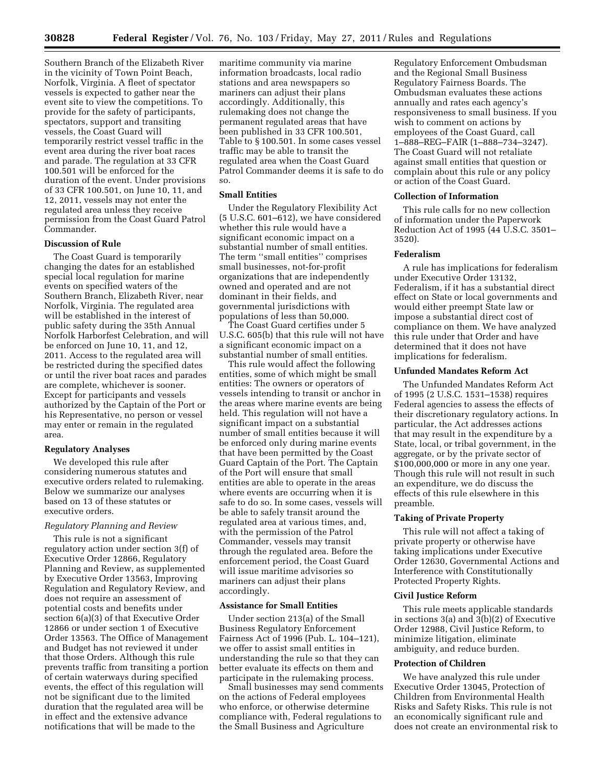Southern Branch of the Elizabeth River in the vicinity of Town Point Beach, Norfolk, Virginia. A fleet of spectator vessels is expected to gather near the event site to view the competitions. To provide for the safety of participants, spectators, support and transiting vessels, the Coast Guard will temporarily restrict vessel traffic in the event area during the river boat races and parade. The regulation at 33 CFR 100.501 will be enforced for the duration of the event. Under provisions of 33 CFR 100.501, on June 10, 11, and 12, 2011, vessels may not enter the regulated area unless they receive permission from the Coast Guard Patrol Commander.

# **Discussion of Rule**

The Coast Guard is temporarily changing the dates for an established special local regulation for marine events on specified waters of the Southern Branch, Elizabeth River, near Norfolk, Virginia. The regulated area will be established in the interest of public safety during the 35th Annual Norfolk Harborfest Celebration, and will be enforced on June 10, 11, and 12, 2011. Access to the regulated area will be restricted during the specified dates or until the river boat races and parades are complete, whichever is sooner. Except for participants and vessels authorized by the Captain of the Port or his Representative, no person or vessel may enter or remain in the regulated area.

## **Regulatory Analyses**

We developed this rule after considering numerous statutes and executive orders related to rulemaking. Below we summarize our analyses based on 13 of these statutes or executive orders.

## *Regulatory Planning and Review*

This rule is not a significant regulatory action under section 3(f) of Executive Order 12866, Regulatory Planning and Review, as supplemented by Executive Order 13563, Improving Regulation and Regulatory Review, and does not require an assessment of potential costs and benefits under section 6(a)(3) of that Executive Order 12866 or under section 1 of Executive Order 13563. The Office of Management and Budget has not reviewed it under that those Orders. Although this rule prevents traffic from transiting a portion of certain waterways during specified events, the effect of this regulation will not be significant due to the limited duration that the regulated area will be in effect and the extensive advance notifications that will be made to the

maritime community via marine information broadcasts, local radio stations and area newspapers so mariners can adjust their plans accordingly. Additionally, this rulemaking does not change the permanent regulated areas that have been published in 33 CFR 100.501, Table to § 100.501. In some cases vessel traffic may be able to transit the regulated area when the Coast Guard Patrol Commander deems it is safe to do so.

## **Small Entities**

Under the Regulatory Flexibility Act (5 U.S.C. 601–612), we have considered whether this rule would have a significant economic impact on a substantial number of small entities. The term ''small entities'' comprises small businesses, not-for-profit organizations that are independently owned and operated and are not dominant in their fields, and governmental jurisdictions with populations of less than 50,000.

The Coast Guard certifies under 5 U.S.C. 605(b) that this rule will not have a significant economic impact on a substantial number of small entities.

This rule would affect the following entities, some of which might be small entities: The owners or operators of vessels intending to transit or anchor in the areas where marine events are being held. This regulation will not have a significant impact on a substantial number of small entities because it will be enforced only during marine events that have been permitted by the Coast Guard Captain of the Port. The Captain of the Port will ensure that small entities are able to operate in the areas where events are occurring when it is safe to do so. In some cases, vessels will be able to safely transit around the regulated area at various times, and, with the permission of the Patrol Commander, vessels may transit through the regulated area. Before the enforcement period, the Coast Guard will issue maritime advisories so mariners can adjust their plans accordingly.

### **Assistance for Small Entities**

Under section 213(a) of the Small Business Regulatory Enforcement Fairness Act of 1996 (Pub. L. 104–121), we offer to assist small entities in understanding the rule so that they can better evaluate its effects on them and participate in the rulemaking process.

Small businesses may send comments on the actions of Federal employees who enforce, or otherwise determine compliance with, Federal regulations to the Small Business and Agriculture

Regulatory Enforcement Ombudsman and the Regional Small Business Regulatory Fairness Boards. The Ombudsman evaluates these actions annually and rates each agency's responsiveness to small business. If you wish to comment on actions by employees of the Coast Guard, call 1–888–REG–FAIR (1–888–734–3247). The Coast Guard will not retaliate against small entities that question or complain about this rule or any policy or action of the Coast Guard.

# **Collection of Information**

This rule calls for no new collection of information under the Paperwork Reduction Act of 1995 (44 U.S.C. 3501– 3520).

# **Federalism**

A rule has implications for federalism under Executive Order 13132, Federalism, if it has a substantial direct effect on State or local governments and would either preempt State law or impose a substantial direct cost of compliance on them. We have analyzed this rule under that Order and have determined that it does not have implications for federalism.

## **Unfunded Mandates Reform Act**

The Unfunded Mandates Reform Act of 1995 (2 U.S.C. 1531–1538) requires Federal agencies to assess the effects of their discretionary regulatory actions. In particular, the Act addresses actions that may result in the expenditure by a State, local, or tribal government, in the aggregate, or by the private sector of \$100,000,000 or more in any one year. Though this rule will not result in such an expenditure, we do discuss the effects of this rule elsewhere in this preamble.

# **Taking of Private Property**

This rule will not affect a taking of private property or otherwise have taking implications under Executive Order 12630, Governmental Actions and Interference with Constitutionally Protected Property Rights.

### **Civil Justice Reform**

This rule meets applicable standards in sections 3(a) and 3(b)(2) of Executive Order 12988, Civil Justice Reform, to minimize litigation, eliminate ambiguity, and reduce burden.

#### **Protection of Children**

We have analyzed this rule under Executive Order 13045, Protection of Children from Environmental Health Risks and Safety Risks. This rule is not an economically significant rule and does not create an environmental risk to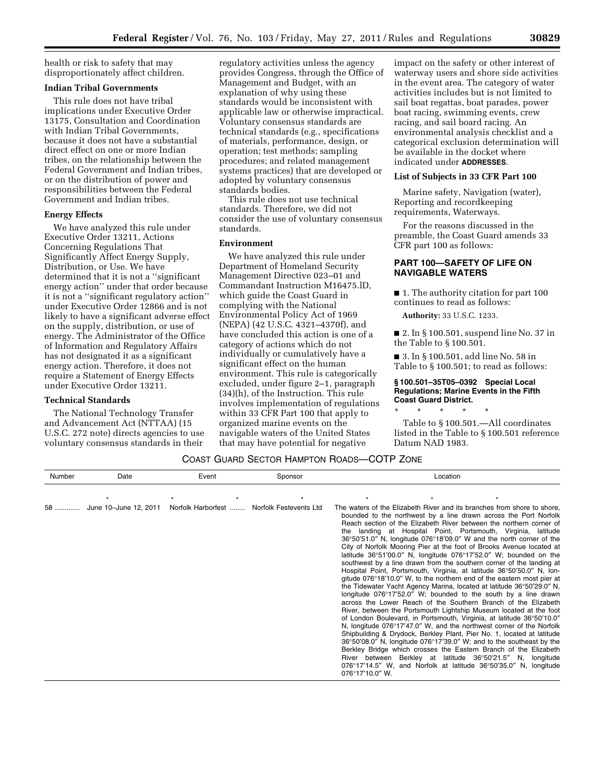health or risk to safety that may disproportionately affect children.

# **Indian Tribal Governments**

This rule does not have tribal implications under Executive Order 13175, Consultation and Coordination with Indian Tribal Governments, because it does not have a substantial direct effect on one or more Indian tribes, on the relationship between the Federal Government and Indian tribes, or on the distribution of power and responsibilities between the Federal Government and Indian tribes.

### **Energy Effects**

We have analyzed this rule under Executive Order 13211, Actions Concerning Regulations That Significantly Affect Energy Supply, Distribution, or Use. We have determined that it is not a ''significant energy action'' under that order because it is not a ''significant regulatory action'' under Executive Order 12866 and is not likely to have a significant adverse effect on the supply, distribution, or use of energy. The Administrator of the Office of Information and Regulatory Affairs has not designated it as a significant energy action. Therefore, it does not require a Statement of Energy Effects under Executive Order 13211.

### **Technical Standards**

The National Technology Transfer and Advancement Act (NTTAA) (15 U.S.C. 272 note) directs agencies to use voluntary consensus standards in their

regulatory activities unless the agency provides Congress, through the Office of Management and Budget, with an explanation of why using these standards would be inconsistent with applicable law or otherwise impractical. Voluntary consensus standards are technical standards (e.g., specifications of materials, performance, design, or operation; test methods; sampling procedures; and related management systems practices) that are developed or adopted by voluntary consensus standards bodies.

This rule does not use technical standards. Therefore, we did not consider the use of voluntary consensus standards.

## **Environment**

We have analyzed this rule under Department of Homeland Security Management Directive 023–01 and Commandant Instruction M16475.lD, which guide the Coast Guard in complying with the National Environmental Policy Act of 1969 (NEPA) (42 U.S.C. 4321–4370f), and have concluded this action is one of a category of actions which do not individually or cumulatively have a significant effect on the human environment. This rule is categorically excluded, under figure 2–1, paragraph (34)(h), of the Instruction. This rule involves implementation of regulations within 33 CFR Part 100 that apply to organized marine events on the navigable waters of the United States that may have potential for negative

impact on the safety or other interest of waterway users and shore side activities in the event area. The category of water activities includes but is not limited to sail boat regattas, boat parades, power boat racing, swimming events, crew racing, and sail board racing. An environmental analysis checklist and a categorical exclusion determination will be available in the docket where indicated under **ADDRESSES**.

### **List of Subjects in 33 CFR Part 100**

Marine safety, Navigation (water), Reporting and recordkeeping requirements, Waterways.

For the reasons discussed in the preamble, the Coast Guard amends 33 CFR part 100 as follows:

# **PART 100—SAFETY OF LIFE ON NAVIGABLE WATERS**

■ 1. The authority citation for part 100 continues to read as follows:

**Authority:** 33 U.S.C. 1233.

■ 2. In § 100.501, suspend line No. 37 in the Table to § 100.501.

■ 3. In § 100.501, add line No. 58 in Table to § 100.501; to read as follows:

## **§ 100.501–35T05–0392 Special Local Regulations; Marine Events in the Fifth Coast Guard District.**

\* \* \* \* \*

Table to § 100.501.—All coordinates listed in the Table to § 100.501 reference Datum NAD 1983.

# COAST GUARD SECTOR HAMPTON ROADS—COTP ZONE

Number Date Event Sponsor Location

| 58 | June 10-June 12, 2011 | Norfolk Harborfest | Norfolk Festevents Ltd | River between Berkley at<br>$076^{\circ}17'10.0''$ W. | The waters of the Elizabeth River and its branches from shore to shore,<br>bounded to the northwest by a line drawn across the Port Norfolk<br>Reach section of the Elizabeth River between the northern corner of<br>the landing at Hospital Point, Portsmouth, Virginia, latitude<br>36°50'51.0" N, longitude 076°18'09.0" W and the north corner of the<br>City of Norfolk Mooring Pier at the foot of Brooks Avenue located at<br>latitude $36^{\circ}51'00.0''$ N, longitude $076^{\circ}17'52.0''$ W; bounded on the<br>southwest by a line drawn from the southern corner of the landing at<br>Hospital Point, Portsmouth, Virginia, at latitude 36°50'50.0" N, lon-<br>gitude $076^{\circ}18'10.0''$ W, to the northern end of the eastern most pier at<br>the Tidewater Yacht Agency Marina, located at latitude 36°50'29.0" N,<br>longitude 076°17'52.0" W; bounded to the south by a line drawn<br>across the Lower Reach of the Southern Branch of the Elizabeth<br>River, between the Portsmouth Lightship Museum located at the foot<br>of London Boulevard, in Portsmouth, Virginia, at latitude 36°50'10.0"<br>N, longitude 076°17'47.0" W, and the northwest corner of the Norfolk<br>Shipbuilding & Drydock, Berkley Plant, Pier No. 1, located at latitude<br>$36^{\circ}50'08.0''$ N, longitude $076^{\circ}17'39.0''$ W; and to the southeast by the<br>Berkley Bridge which crosses the Eastern Branch of the Elizabeth<br>latitude 36°50'21.5" N,<br>longitude<br>$076^{\circ}17'14.5''$ W, and Norfolk at latitude $36^{\circ}50'35.0''$ N, longitude |
|----|-----------------------|--------------------|------------------------|-------------------------------------------------------|-------------------------------------------------------------------------------------------------------------------------------------------------------------------------------------------------------------------------------------------------------------------------------------------------------------------------------------------------------------------------------------------------------------------------------------------------------------------------------------------------------------------------------------------------------------------------------------------------------------------------------------------------------------------------------------------------------------------------------------------------------------------------------------------------------------------------------------------------------------------------------------------------------------------------------------------------------------------------------------------------------------------------------------------------------------------------------------------------------------------------------------------------------------------------------------------------------------------------------------------------------------------------------------------------------------------------------------------------------------------------------------------------------------------------------------------------------------------------------------------------------------------------------------------------------------------------------|